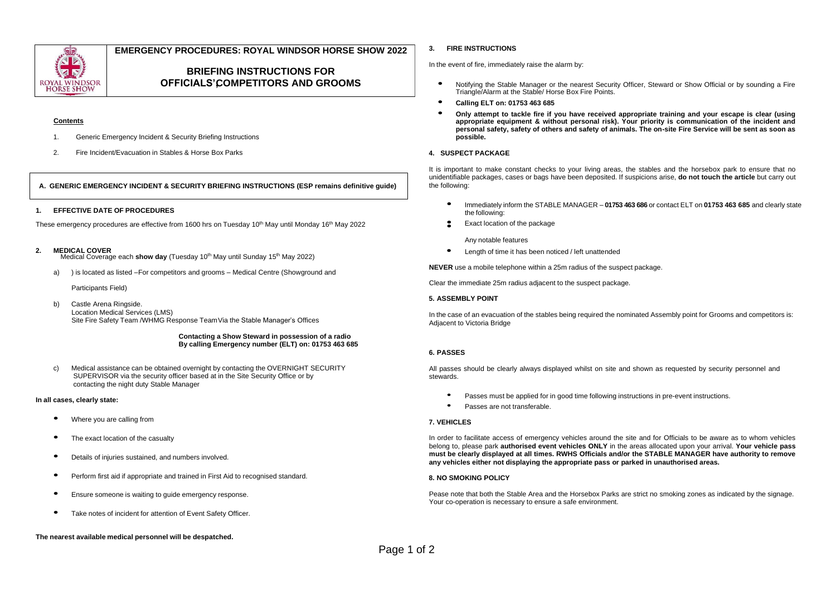

# **EMERGENCY PROCEDURES: ROYAL WINDSOR HORSE SHOW 2022**

# **BRIEFING INSTRUCTIONS FOR OFFICIALS', COMPETITORS AND GROOMS**

# **Contents**

- 1. Generic Emergency Incident & Security Briefing Instructions
- 2. Fire Incident/Evacuation in Stables & Horse Box Parks

# **A. GENERIC EMERGENCY INCIDENT & SECURITY BRIEFING INSTRUCTIONS (ESP remains definitive guide)**

## **1. EFFECTIVE DATE OF PROCEDURES**

These emergency procedures are effective from 1600 hrs on Tuesday 10<sup>th</sup> May until Monday 16<sup>th</sup> May 2022

#### **2. MEDICAL COVER**

Medical Coverage each **show day** (Tuesday 10<sup>th</sup> May until Sunday 15<sup>th</sup> May 2022)

a) ) is located as listed –For competitors and grooms – Medical Centre (Showground and

Participants Field)

b) Castle Arena Ringside. Location Medical Services (LMS) Site Fire Safety Team /WHMG Response Team Via the Stable Manager's Offices

#### **Contacting a Show Steward in possession of a radio By calling Emergency number (ELT) on: 01753 463 685**

c) Medical assistance can be obtained overnight by contacting the OVERNIGHT SECURITY SUPERVISOR via the security officer based at in the Site Security Office or by contacting the night duty Stable Manager

#### **In all cases, clearly state:**

- **•** Where you are calling from
- **•** The exact location of the casualty
- **•** Details of injuries sustained, and numbers involved.
- **•** Perform first aid if appropriate and trained in First Aid to recognised standard.
- **•** Ensure someone is waiting to guide emergency response.
- **•** Take notes of incident for attention of Event Safety Officer.

#### **The nearest available medical personnel will be despatched.**

#### **3. FIRE INSTRUCTIONS**

In the event of fire, immediately raise the alarm by:

- **•** Notifying the Stable Manager or the nearest Security Officer, Steward or Show Official or by sounding a Fire Triangle/Alarm at the Stable/ Horse Box Fire Points.
- **• Calling ELT on: <sup>01753</sup> 463 685**
- **• Only attempt to tackle fire if you have received appropriate training and your escape is clear (using appropriate equipment & without personal risk). Your priority is communication of the incident and personal safety, safety of others and safety of animals. The on-site Fire Service will be sent as soon as possible.**

## **4. SUSPECT PACKAGE**

It is important to make constant checks to your living areas, the stables and the horsebox park to ensure that no unidentifiable packages, cases or bags have been deposited. If suspicions arise, **do not touch the article** but carry out the following:

- **•** Immediately inform the STABLE MANAGER **01753 463 686** or contact ELT on **<sup>01753</sup> 463 685** and clearly state the following:
- **•** Exact location of the package **•**

Any notable features

**•** Length of time it has been noticed / left unattended

**NEVER** use a mobile telephone within a 25m radius of the suspect package.

Clear the immediate 25m radius adjacent to the suspect package.

#### **5. ASSEMBLY POINT**

In the case of an evacuation of the stables being required the nominated Assembly point for Grooms and competitors is: Adjacent to Victoria Bridge

## **6. PASSES**

All passes should be clearly always displayed whilst on site and shown as requested by security personnel and stewards.

- Passes must be applied for in good time following instructions in pre-event instructions.
- Passes are not transferable.

#### **7. VEHICLES**

In order to facilitate access of emergency vehicles around the site and for Officials to be aware as to whom vehicles belong to, please park **authorised event vehicles ONLY** in the areas allocated upon your arrival. **Your vehicle pass must be clearly displayed at all times. RWHS Officials and/or the STABLE MANAGER have authority to remove any vehicles either not displaying the appropriate pass or parked in unauthorised areas.**

# **8. NO SMOKING POLICY**

Pease note that both the Stable Area and the Horsebox Parks are strict no smoking zones as indicated by the signage. Your co-operation is necessary to ensure a safe environment.